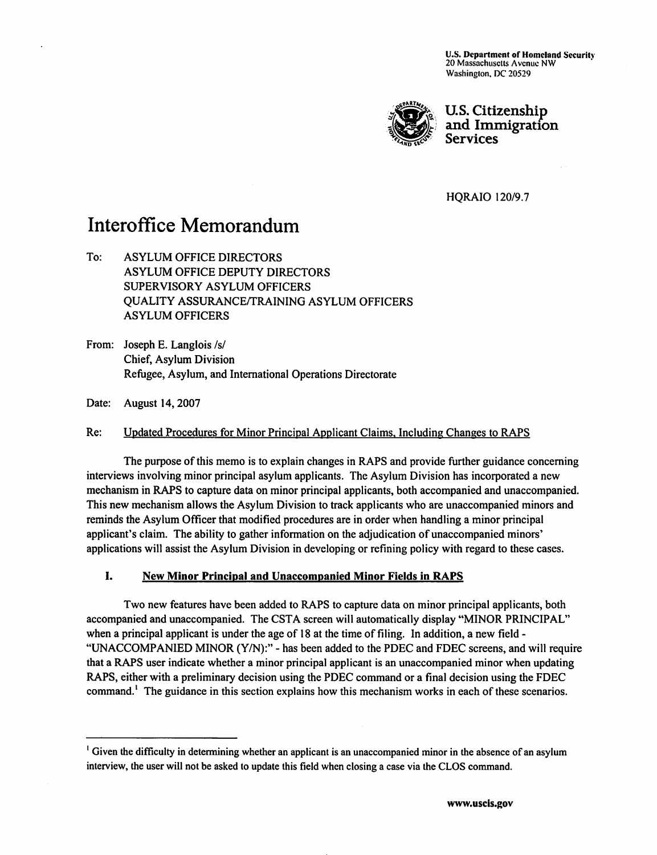U.S. Department of Homeland Security<br>20 Massachusetts Avenue NW Washington, DC 20529



*?\$gj&'{o U.S. Citizenship -(§£&£\$: and Immigration °^&r&r Services \*\*\*d sv-*

HQRAIO 120/9.7

# Interoffice Memorandum

To: ASYLUM OFFICE DIRECTORS ASYLUM OFFICE DEPUTY DIRECTORS SUPERVISORY ASYLUM OFFICERS QUALITY ASSURANCE/TRAINING ASYLUM OFFICERS ASYLUM OFFICERS

From: Joseph E. Langlois /s/ Chief, Asylum Division Refugee, Asylum, and International Operations Directorate

Date: August 14, 2007

Re: Updated Procedures for Minor Principal Applicant Claims, Including Changes to RAPS

The purpose ofthis memo is to explain changes in RAPS and provide further guidance concerning interviews involving minor principal asylum applicants. The Asylum Division has incorporated a new mechanism in RAPS to capture data on minor principal applicants, both accompanied and unaccompanied. This new mechanism allows the Asylum Division to track applicants who are unaccompanied minors and reminds the Asylum Officer that modified procedures are in order when handling a minor principal applicant's claim. The ability to gather information on the adjudication of unaccompanied minors' applications will assist the Asylum Division in developing or refining policy with regard to these cases.

# *I. New Minor Principal and Unaccompanied Minor Fields in RAPS*

Two new features have been added to RAPS to capture data on minor principal applicants, both accompanied and unaccompanied. The CSTA screen will automatically display "MINOR PRINCIPAL" when a principal applicant is under the age of 18 at the time of filing. In addition, a new field -"UNACCOMPANIED MINOR (Y/N):" - has been added to the PDEC and FDEC screens, and will require that a RAPS user indicate whether a minor principal applicant is an unaccompanied minor when updating RAPS, either with a preliminary decision using the PDEC command or a final decision using the FDEC command.<sup>1</sup> The guidance in this section explains how this mechanism works in each of these scenarios.

<sup>&</sup>lt;sup>1</sup> Given the difficulty in determining whether an applicant is an unaccompanied minor in the absence of an asylum interview, the user will not be asked to update this field when closing a case via the CLOS command.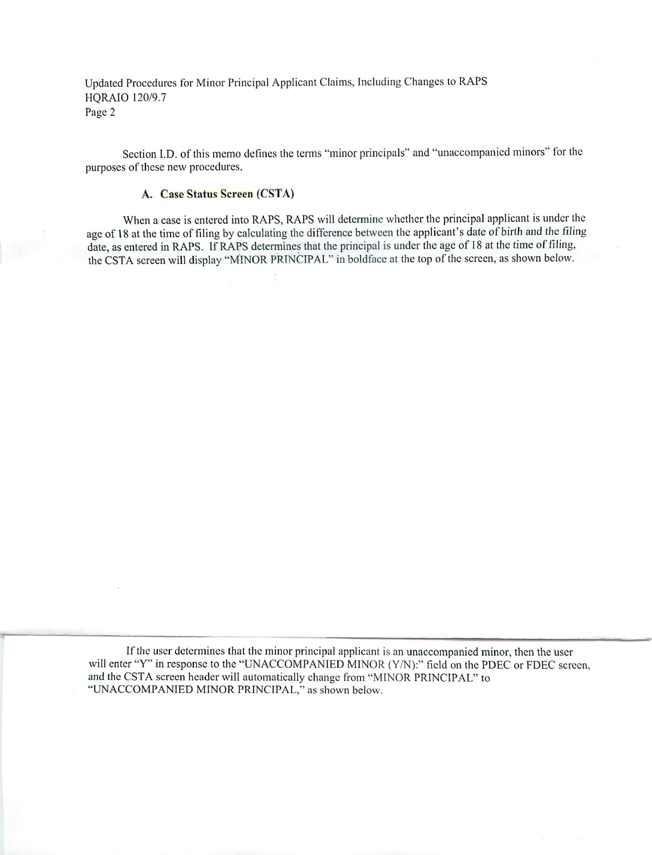Section I.D. of this memo defines the terms "minor principals" and "unaccompanied minors" for the purposes of these new procedures.

#### *A. Case Status Screen (CSTA)*

When a case is entered into RAPS, RAPS will determine whether the principal applicant is under the age of 18 at the time of filing by calculating the difference between the applicant's date of birth and the filing date, as entered in RAPS. If RAPS determines that the principal is under the age of 18 at the time of filing, the CSTA screen will display "MINOR PRINCIPAL" in boldface at the top of the screen, as shown below.

If the user determines that the minor principal applicant is an unaccompanied minor, then the user will enter "Y" in response to the "UNACCOMPANIED MINOR (Y/N):" field on the PDEC or FDEC screen, and the CSTA screen header will automatically change from "MINOR PRINCIPAL" to "UNACCOMPANIED MINOR PRINCIPAL," as shown below.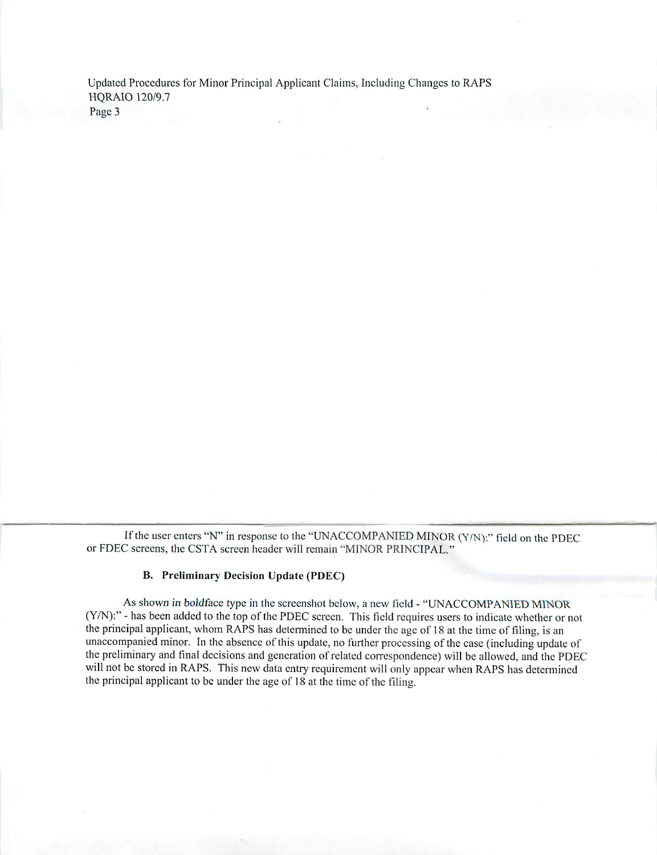If the user enters "N" in response to the "UNACCOMPANIED MINOR (Y/N):" field on the PDEC or FDEC screens, the CSTA screen header will remain "MINOR PRINCIPAL."

#### B. Preliminary Decision Update (PDEC)

As shown in boldface type in the screenshot below, a new field - "UNACCOMPANIED MINOR (Y/N):" - has been added to the top of the PDEC screen. This field requires users to indicate whether or not the principal applicant, whom RAPS has determined to be under the age of 18 at the time of filing, is an unaccompanied minor. In the absence of this update, no further processing of the case (including update of the preliminary and final decisions and generation of related correspondence) will be allowed, and the PDEC will not be stored in RAPS. This new data entry requirement will only appear when RAPS has determined the principal applicant to be under the age of 18 at the time of the filing.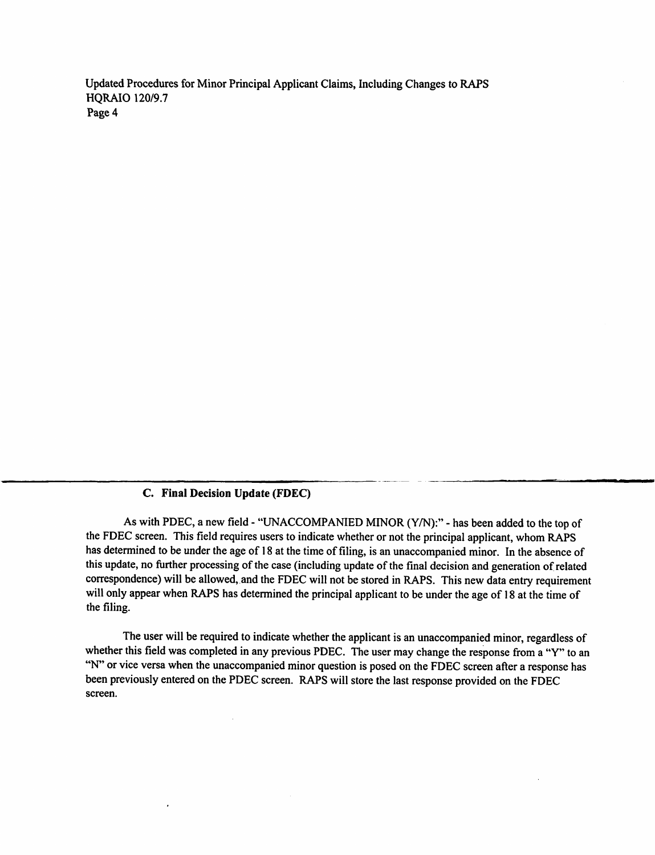# *C. Final Decision Update (FDEC)*

As with PDEC, a new field - "UNACCOMPANIED MINOR (Y/N):" - has been added to the top of the FDEC screen. This field requires users to indicate whether or not the principal applicant, whom RAPS has determined to be under the age of 18 at the time of filing, is an unaccompanied minor. In the absence of this update, no further processing of the case (including update of the final decision andgeneration of related correspondence) will be allowed, and the FDEC will not be stored in RAPS. This new data entry requirement will only appear when RAPS has determined the principal applicant to be under the age of 18 at the time of the filing.

The user will be required to indicate whether the applicant is an unaccompanied minor, regardless of whether this field was completed in any previous PDEC. The user may change the response from a "Y" to an "N" or vice versa when the unaccompanied minor question is posed on the FDEC screen after a response has been previously entered on the PDEC screen. RAPS will store the last response provided on the FDEC screen.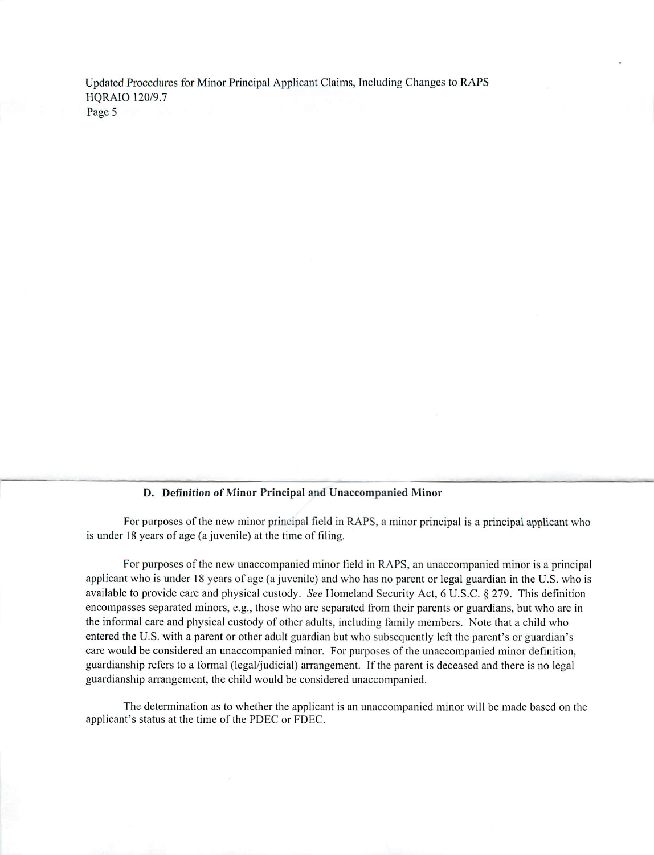#### *D. Definition of Minor Principal and Unaccompanied Minor*

For purposes of the new minor principal field in RAPS, a minor principal is a principal applicant who is under 18 years of age (a juvenile) at the time of filing.

For purposes of the new unaccompanied minor field in RAPS, an unaccompanied minor is a principal applicant who is under 18 years of age (a juvenile) and who has no parent or legal guardian in the U.S. who is available to provide care and physical custody. **See** Homeland Security Act, 6 U.S.C. § 279. This definition encompasses separated minors, e.g., those who arc separated from their parents or guardians, but who are in the informal care and physical custody of other adults, including family members. Note that a child who entered the U.S. with a parent or other adult guardian but who subsequently left the parent's or guardian's care would be considered an unaccompanied minor. For purposes of the unaccompanied minor definition, guardianship refers to a formal (legal/judicial) arrangement. If the parent is deceased and there is no legal guardianship arrangement, the child would be considered unaccompanied.

The determination as to whether the applicant is an unaccompanied minor will be made based on the applicant's status at the time of the PDEC or FDEC.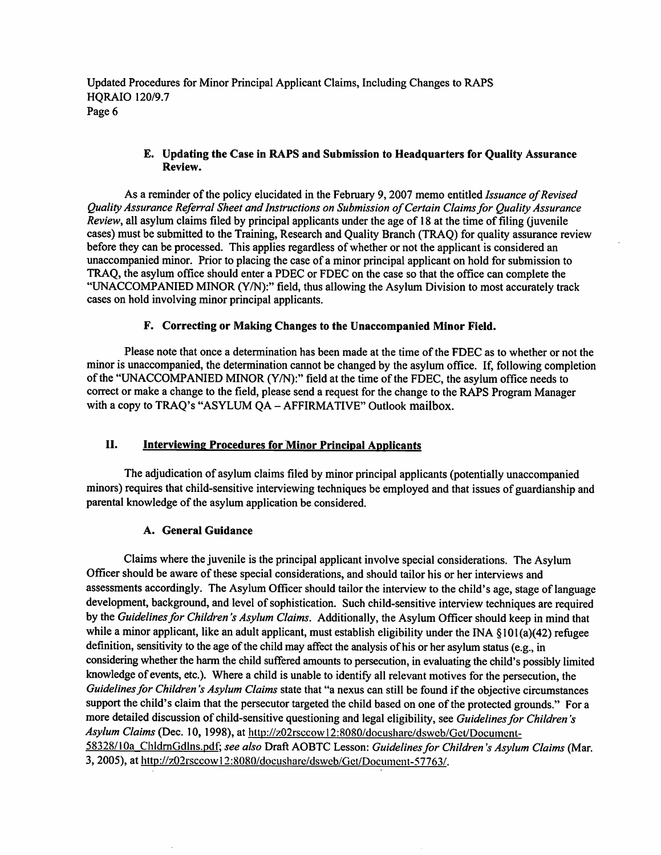## *E. Updating the Case in RAPS and Submission to Headquarters for Quality Assurance Review.*

As a reminder of the policy elucidated in the February 9,2007 memo entitled **Issuance ofRevised Quality Assurance ReferralSheet and Instructions on Submission ofCertain Claimsfor Quality Assurance Review,** all asylum claims filed by principal applicants under the age of 18 at the time of filing (juvenile cases) must be submitted to the Training, Research and Quality Branch (TRAQ) for quality assurance review before they can be processed. This applies regardless of whether or not the applicant is considered an unaccompanied minor. Prior to placing the case of a minor principal applicant on hold for submission to TRAQ, the asylum office should enter a PDEC or FDEC on the case so that the office can complete the "UNACCOMPANIED MINOR (Y/N):" field, thus allowing the Asylum Division to most accurately track cases on hold involving minor principal applicants.

# *F. Correcting or Making Changes to the Unaccompanied Minor Field.*

Please note that once a determination has been made at the time of the FDEC as to whether or not the minor is unaccompanied, the determination cannot be changed by the asylum office. If, following completion of the "UNACCOMPANIED MINOR (Y/N):" field at the time of the FDEC, the asylum office needs to correct or make a change to the field, please send a request for the change to the RAPS Program Manager with a copy to TRAQ's "ASYLUM QA - AFFIRMATIVE" Outlook mailbox.

# *II. Interviewing Procedures for Minor Principal Applicants*

The adjudication of asylum claims filed by minor principal applicants (potentially unaccompanied minors) requires that child-sensitive interviewing techniques be employed and that issues of guardianship and parental knowledge of the asylum application be considered.

#### *A. General Guidance*

Claims where the juvenile is the principal applicant involve special considerations. The Asylum Officer should be aware of these special considerations, and should tailor his or her interviews and assessments accordingly. The Asylum Officer should tailor the interview to the child's age, stage of language development, background, and level of sophistication. Such child-sensitive interview techniques are required by the *Guidelines for Children's Asylum Claims*. Additionally, the Asylum Officer should keep in mind that while a minor applicant, like an adult applicant, must establish eligibility under the INA  $\S 101(a)(42)$  refugee definition, sensitivity to the age of the child may affect the analysis of his or her asylum status (e.g., in considering whether the harm the child suffered amounts to persecution, in evaluating the child's possibly limited knowledge of events, etc.). Where a child is unable to identify all relevant motives for the persecution, the Guidelines for Children's Asylum Claims state that "a nexus can still be found if the objective circumstances support the child's claim that the persecutor targeted the child based on one of the protected grounds." For a more detailed discussion of child-sensitive questioning and legal eligibility, see *Guidelines for Children's* **Asylum Claims** (Dec. 10, 1998), at http://z02rsccow 12:8080/docusharc/dsweb/Gct/Documcnt-58328/10a ChldrnGdlns.pdf: **see also** DraftAOBTC Lesson: **Guidelinesfor Children's Asylum Claims** (Mar. 3, 2005), at http://z02rsccowl2:8080/docushare/dsweb/Get/Document-57763/.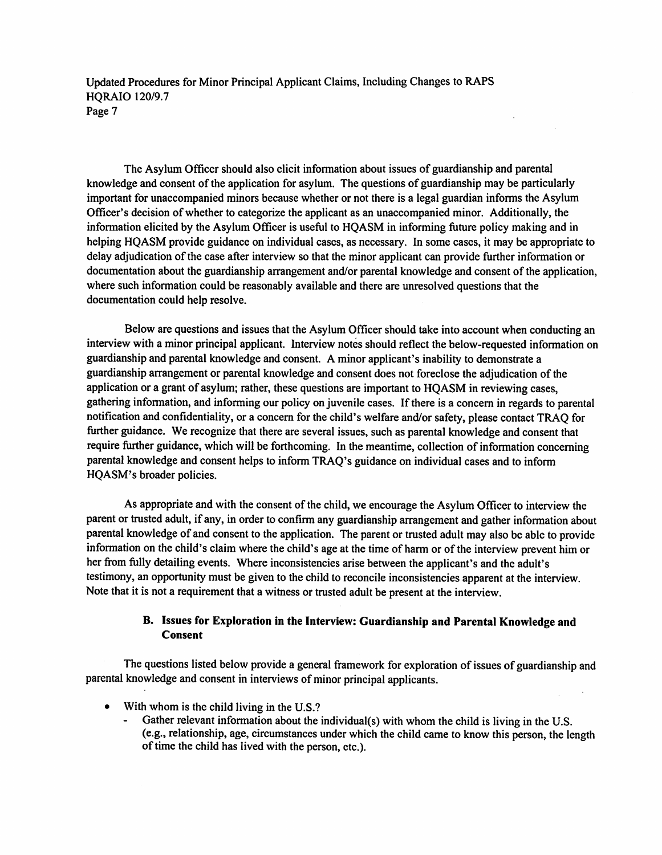The Asylum Officer should also elicit information about issues of guardianship and parental knowledge and consent of the application for asylum. The questions of guardianship may be particularly important for unaccompanied minors because whether or not there is a legal guardian informs the Asylum Officer's decision of whether to categorize the applicant as an unaccompanied minor. Additionally, the information elicited by the Asylum Officer is useful to HQASM in informing future policy making and in helping HQASM provide guidance on individual cases, as necessary. In some cases, it may be appropriate to delay adjudication of the case after interview so that the minor applicant can provide further information or documentation about the guardianship arrangement and/or parental knowledge and consent of the application, where such information could be reasonably available and there are unresolved questions that the documentation could help resolve.

Below are questions and issues that the Asylum Officer should take into account when conducting an interview with a minor principal applicant. Interview notes should reflect the below-requested information on guardianship and parental knowledge and consent. A minor applicant's inability to demonstrate a guardianship arrangement or parental knowledge and consent does not foreclose the adjudication of the application or a grant of asylum; rather, these questions are important to HQASM in reviewing cases, gathering information, and informing our policy on juvenile cases. If there is a concern in regards to parental notification and confidentiality, or a concern for the child's welfare and/or safety, please contact TRAQ for further guidance. We recognize that there are several issues, such as parental knowledge and consent that require further guidance, which will be forthcoming. In the meantime, collection of information concerning parental knowledge and consent helps to inform TRAQ's guidance on individual cases and to inform HQASM's broader policies.

As appropriate and with the consent of the child, we encourage the Asylum Officer to interview the parent or trusted adult, if any, in order to confirm any guardianship arrangement and gather information about parental knowledge of and consent to the application. The parent or trusted adult may also be able to provide information on the child's claim where the child's ageat the time of harm or of the interview prevent him or her from fully detailing events. Where inconsistencies arise between the applicant's and the adult's testimony, an opportunity must be given to the child to reconcile inconsistencies apparent at the interview. Note that it is not a requirement that a witness or trusted adult be present at the interview.

## *B. Issues for Exploration in the Interview: Guardianship and Parental Knowledge and Consent*

The questions listed below provide a general framework for exploration of issues of guardianship and parental knowledge and consent in interviews of minor principal applicants.

- With whom is the child living in the U.S.?
	- Gather relevant information about the individual(s) with whom the child is living in the U.S. (e.g., relationship, age, circumstances underwhich the child came to know this person, the length of time the child has lived with the person, etc.).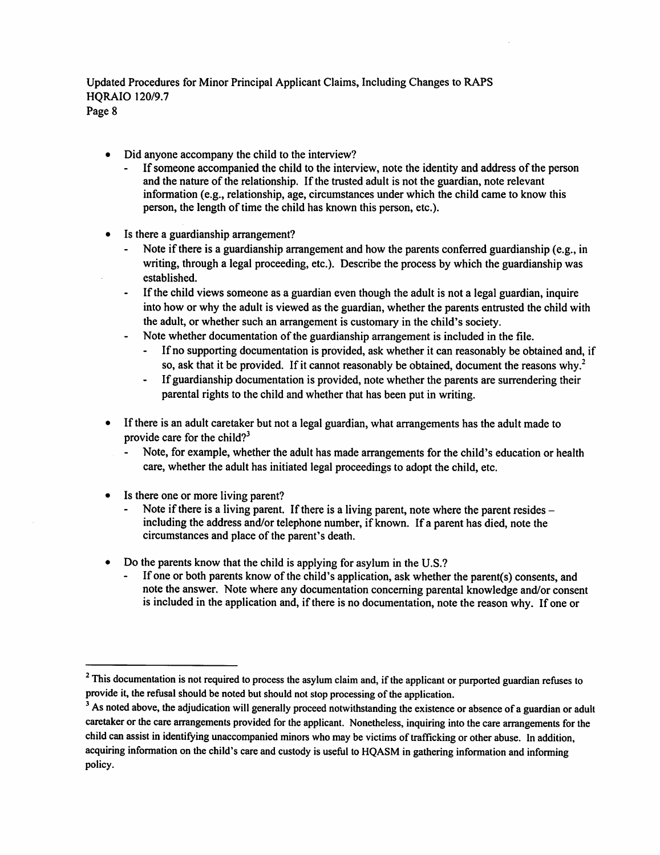- Did anyone accompany the child to the interview?
	- If someone accompanied the child to the interview, note the identity and address of the person and the nature of the relationship. If the trusted adult is not the guardian, note relevant information (e.g., relationship, age, circumstances under which the child came to know this person, the length of time the child has known this person, etc.).
- Is there a guardianship arrangement?
	- Note if there is a guardianship arrangement and how the parents conferred guardianship (e.g., in writing, through a legal proceeding, etc.). Describe the process by which the guardianship was established.
	- If the child views someone as a guardian even though the adult is not a legal guardian, inquire  $\bullet$  . into how or why the adult is viewed as the guardian, whether the parents entrusted the child with the adult, or whether such an arrangement is customary in the child's society.
	- Note whether documentation of the guardianship arrangement is included in the file.
		- Ifno supporting documentation is provided, ask whether it can reasonably be obtained and, if so, ask that it be provided. If it cannot reasonably be obtained, document the reasons why.<sup>2</sup>
		- ä, Ifguardianship documentation is provided, note whether the parents are surrendering their parental rights to the child and whether that has been put in writing.
- If there is an adult caretaker but not a legal guardian, what arrangements has the adult made to provide care for the child?<sup>3</sup>
	- Note, for example, whether the adult has made arrangements for the child's education or health care, whether the adult has initiated legal proceedings to adopt the child, etc.
- Is there one or more living parent?
	- Note if there is a living parent. If there is a living parent, note where the parent resides  $$ including the address and/or telephone number, if known. If a parent has died, note the circumstances and place of the parent's death.
- Do the parents know that the child is applying for asylum in the U.S.?
	- If one or both parents know of the child's application, ask whether the parent(s) consents, and note the answer. Note where any documentation concerning parental knowledge and/or consent is included in the application and, if there is no documentation, note the reason why. If one or

<sup>&</sup>lt;sup>2</sup> This documentation is not required to process the asylum claim and, if the applicant or purported guardian refuses to provide it, the refusal should be noted but should not stop processing of the application.

<sup>&</sup>lt;sup>3</sup> As noted above, the adjudication will generally proceed notwithstanding the existence or absence of a guardian or adult caretaker or the care arrangements provided for the applicant. Nonetheless, inquiring into the care arrangements for the child can assist in identifying unaccompanied minors who may be victims of trafficking or other abuse. In addition, acquiring information on the child's care and custody is useful to HQASM in gathering information and informing policy.